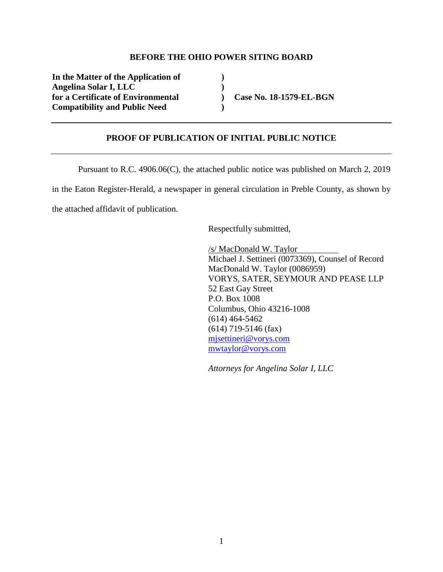#### **BEFORE THE OHIO POWER SITING BOARD**

**In the Matter of the Application of ) Angelina Solar I, LLC )**  for a Certificate of Environmental **Case No. 18-1579-EL-BGN Compatibility and Public Need )** 

#### **PROOF OF PUBLICATION OF INITIAL PUBLIC NOTICE**

Pursuant to R.C. 4906.06(C), the attached public notice was published on March 2, 2019 in the Eaton Register-Herald, a newspaper in general circulation in Preble County, as shown by the attached affidavit of publication.

Respectfully submitted,

/s/ MacDonald W. Taylor Michael J. Settineri (0073369), Counsel of Record MacDonald W. Taylor (0086959) VORYS, SATER, SEYMOUR AND PEASE LLP 52 East Gay Street P.O. Box 1008 Columbus, Ohio 43216-1008 (614) 464-5462 (614) 719-5146 (fax) mjsettineri@vorys.com mwtaylor@vorys.com

*Attorneys for Angelina Solar I, LLC*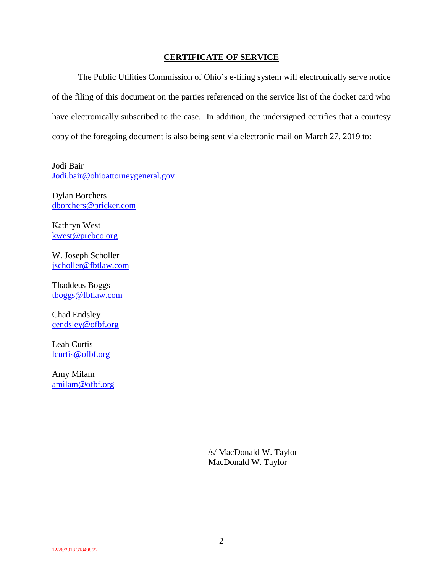### **CERTIFICATE OF SERVICE**

The Public Utilities Commission of Ohio's e-filing system will electronically serve notice of the filing of this document on the parties referenced on the service list of the docket card who have electronically subscribed to the case. In addition, the undersigned certifies that a courtesy copy of the foregoing document is also being sent via electronic mail on March 27, 2019 to:

Jodi Bair Jodi.bair@ohioattorneygeneral.gov

Dylan Borchers dborchers@bricker.com

Kathryn West kwest@prebco.org

W. Joseph Scholler jscholler@fbtlaw.com

Thaddeus Boggs tboggs@fbtlaw.com

Chad Endsley cendsley@ofbf.org

Leah Curtis lcurtis@ofbf.org

Amy Milam amilam@ofbf.org

> /s/ MacDonald W. Taylor MacDonald W. Taylor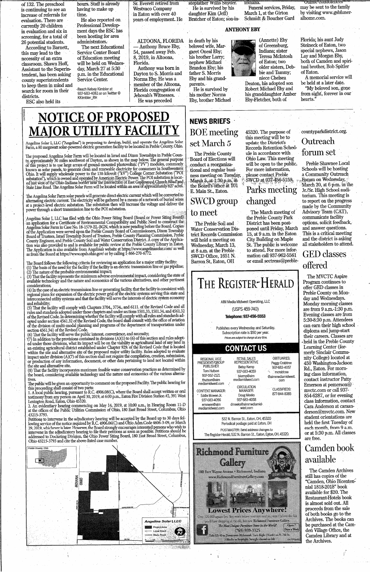of 132. The preschool is continuing to see an increase of referrals for evaluation. There are currently 20 children in evaluation and six in screening, for a total of 26 potential students.

According to Barnett, this may lead to the necessity of an extra classroom. Shawn Hoff, **Assistant to the Superin**tendent, has been asking county superintendents to keep them in mind and search for room in their districts.

ESC also held its

hours. Staff is already having to make up time.

He also reported on Professional Development days the ESC has been hosting for area administrators.

The next Educational **Service Center Board** of Education meeting will be held on Wednesday, March 27 at 5:30 p.m. in the Educational Service Center.

-Reach Kelsey Kimbler at<br>937-683-4061 or on Twitter @<br>KKimbler\_RH

Sr. Everett retired from **Westvaco Company** in Eaton with over 40 years of employment. He

ALTOONA, FLORIDA

- Anthony Bruce Eby, 54, passed away Feb. 8, 2019, in Altoona, Florida.

Anthony was born in Dayton to S. Morris and Norma Eby. He was a member of the Altoona, Florida congregation of Jehovah's Witnesses. He was preceded

He is survived by his daughter Kim (Jeff) Bratcher of Eaton; son-in-

stepfather Willis Snyder.

### **ANTHONY EBY**

Indiana

Funeral services, Friday.

(Annette) Eby

of Greensburg,

Indiana; sister

of Eaton; two

Teresa McIntosh

older sisters. Deb-

bie and Tammy;

niece Chelsea

Deaton, his adopted son

Robert Michael Eby and

Eby-Fletcher, both of

45320. The purpose of this meeting will be to

his granddaughter Amber

March 1, at the Girton

Schmidt & Boucher Gard

in death by his beloved wife, Margaret Oneal Eby; his brother Larry; nephew Michael Brandon Eby; his father S. Morris Eby and his grandparents.

He is survived by his mother Norma Eby, brother Michael

# **NEWS BRIEFS BOE** meeting set March 5

The Preble County Board of Elections will conduct a reorganizational and regular business meeting on Tuesday, March  $5$ , at  $1:30$  p.m. in the Board's office at 101 E. Main St., Eaton.

# **SWCD** group to meet

#### The Preble Soil and **Water Conservation Dis**trict Records Commission will hold a meeting on Wednesday, March 13, at 8 a.m. at the Preble SWCD Office, 1651 N.





**Online condoleno** may be sent to the family by visiting www.gsbfuneralhome.com.

Florida: his aunt Judy Steineck of Eaton, two special nephews, Jason Lay and Morgan Eby, both of Camden and spiritual brother, Bob Spitler of Eaton.

A memorial service will be held at a later date.

"My beloved son, gone from sight, forever in our hearts.'

countyparkdistrict.org.

**NOTICE OF PROPOSED MAJOR UTILITY FACILI** 

Angelina Solar I, LLC ("Angelina") is proposing to develop, build, and operate the Angelina Solar Farm, a 80 megawatt solar-powered electric generation facility to be located in Preble County, Ohio.

The proposed Angelina Solar Farm will be located in Israel and Dixon Townships in Preble County, approximately 30 miles southwest of Dayton, as shown in the map below. The general purpose of this project is to use large ar or uns project is to use rarge arrays or ground-mounted photovonal (FY ) modules, commonly<br>known as solar panels, to generate clean and renewable electricity for consumers in Southwestern<br>Ohio. It will supply wholesale pow

The Angelina Solar Farm solar panels will generate direct electric current which will be converted to alternating electric current. The electricity will be gathered by a means of a network of buried wires<br>at a project-level electric substation. The substation then will increase the voltage and deliver the<br>power through a s

Angelina Solar I, LLC has filed with the Ohio Power Siting Board (Board or Power Siting Board)<br>an application for a Certificate of Environmental Compatibility and Public Need to construct the<br>Angelina Solar Farm in Case No as from the Board at https://www.opsb.ohio.gov/ or by calling 1-866-270-6772.

The Board follows the following criteria for reviewing an application for a major utility facility:<br>(1) The basis of the need for the facility if the facility is an electric transmission line or gas pipeline; The nature of the probable environmental impact;

(3) That the facility represents the minimum adverse environmental impact, considering the state of available technology and the nature and economics of the various alternatives, and other pertinent considerations:

(4) In the case of an electric transmission line or generating facility, that the facility is consistent with regional plans for expansion of the electric power grid of the electric systems serving this state and interconnected utility systems and that the facility will serve the interests of electric system economy and reliability;

(5) That the facility will comply with Chapters 3704., 3734., and 6111. of the Revised Code and all (b) That the racingly with complex south, 3/34, and 0111. Of the Revised Code and all<br>rules and standards adopted under those chapters and under sections 1501.33, 1501.34, and 4561.32<br>of the Revised Code. In determining wh of the division of multi-modal planning and programs of the department of transportation under<br>section 4561.341 of the Revised Code.

(6) That the facility will serve the public interest, convenience, and necessity;<br>(6) That the facility will serve the public interest, convenience, and necessity;<br>(7) In addition to the provisions contained in divisions ( ed under those cuvisions, what its impact will be on the viability as agricultural failed of any failur and existing agricultural district established under Chapter 929. of the Revised Code that is located within the site the site and alternative site.

(8) That the facility incorporates maximum feasible water conservation practices as determined by the board, considering available technology and the nature and economics of the various alterna-

The public will be given an opportunity to comment on the proposed Facility. The public hearing for this proceeding shall consist of two parts:

1. A local public hearing, pursuant to R.C. 4906.08(C), where the Board shall accept written or oral France Tempes, Pursuant to K.O. 4900.08(C), where the Board shall accept written or oral testimony from any person on April 30, 2019, at 6:00 p.m., Eaton Fire Division Station #2, 391 West Lexington Road, Eaton, Ohio 45320

2. An evidentiary hearing commencing on May 14, 2019, at 10:00 a.m., in Hearing Room 11-D at the offices of the Public Utilities Commission of Ohio, 180 East Broad Street, Columbus, Ohio 43215-3793.

.452415-5795.<br>
Petitions to intervene in the adjudicatory hearing will be accepted by the Board up to 30 days fol-<br>
lowing service of the notice required by R.C. 4906.06(C) and Ohio Adm.Code 4606-3-09, or March<br>
29, 2019, Ohio 43215-3793 and cite the above-listed case number.

Outreach update the District's Records Retention Schedforum set ule in accordance with Ohio Law. This meeting will be open to the public. For more information, please contact Preble SWCD at 937-456-5159. **Parks meeting** changed

The March meeting of the Preble County Park District has been postponed until Friday, March 15, at 9 a.m. in the Eaton **City Building on Maple** St. The public is welcome to attend. For more information call 937-962-5561 or email sectreas@preble-

Schools will be hosting a Community Outreach Forum on Wednesday, March 20, at 6 p.m. in the Jr./Sr. High School auditorium. This meeting is to report on the progress made by the Community Advisory Team (CAT), communicate facility options, solicit feedback, and answer questions. This is a critical meeting and the district is asking all stakeholders to attend.

Preble Shawnee Local

# **GED** classes offered

The MVCTC Aspire Program continues to offer GED classes in Preble County on Monday and Wednesdays. Monday morning classes are from 9 a.m.-1:30 p.m. Evening classes are from 5:30-8:30 p.m. Attendees can earn their high school diploma and jump-start their careers. Classes are held in the Preble County Learning Center (formerly Sinclair Community College) located at 450 Washington-Jackson Rd., Eaton. For morning class information, contact instructor Patty Emerson at pemerson $\ddot{\textcirc}$ myctc.com or call 937-854-6287, or for evening class information, contact Cara Anderson at caraanderson@mvctc.com. New student orientations are



Periodical postage paid at Eaton, OH POSTMASTER: Send address changes to The Register-Herald, 532 N. Barron St., Eaton, Eaton, OH, 45320.



held the first Tuesday of each month, from 9 a.m. or at 5:30 p.m. All classes are free.

Camden book available

The Camden Archives still has copies of the "Camden, Ohio Bicentennial 1818-2018" book available for \$20. The Restaurant-Hotels book is almost sold out. All proceeds from the sale of both books go to the Archives. The books can be purchased at the Camden Village Office, the Camden Library and at the Archives.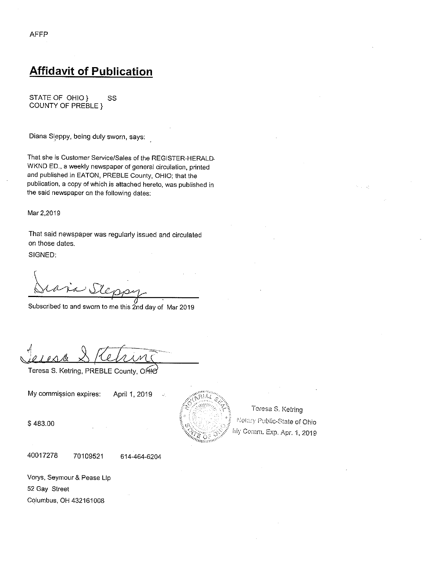## **Affidavit of Publication**

STATE OF OHIO } SS COUNTY OF PREBLE }

Diana Sleppy, being duly sworn, says:

That she is Customer Service/Sales of the REGISTER-HERALD. WKND ED., a weekly newspaper of general circulation, printed and published in EATON, PREBLE County, OHIO; that the publication, a copy of which is attached hereto, was published in the said newspaper on the following dates:

Mar 2,2019

That said newspaper was regularly issued and circulated on those dates.

SIGNED:

Subscribed to and sworn to me this 2nd day of Mar 2019

Teresa S. Ketring, PREBLE County, OHIO

My commission expires: April 1, 2019



Teresa S. Ketring Notary Public-State of Ohio My Comm. Exp. Apr. 1, 2019

\$483.00

40017278 70109521

614-464-6204

Vorys, Seymour & Pease Lip 52 Gay Street Columbus, OH 432161008